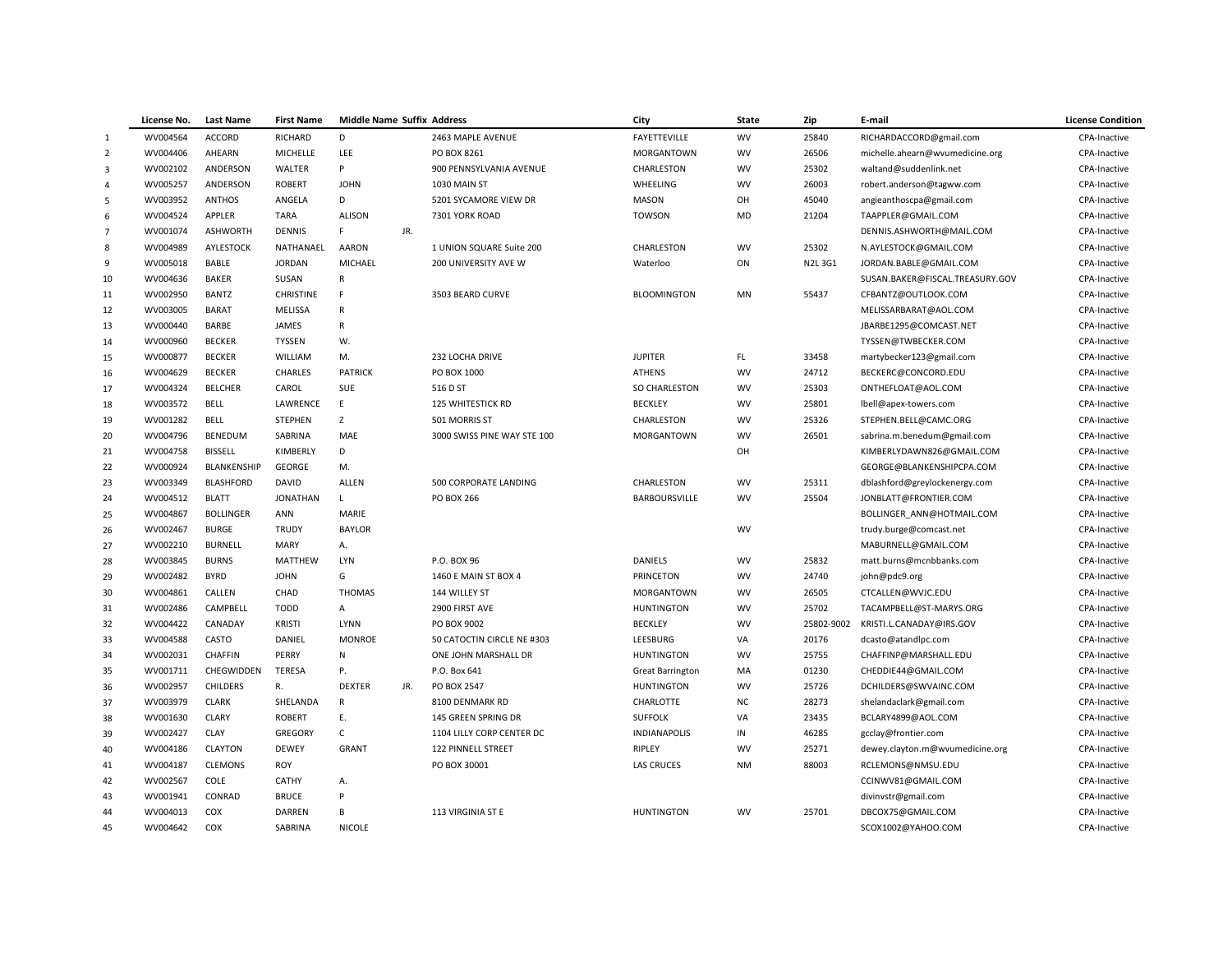|                | License No. | <b>Last Name</b> | <b>First Name</b> | <b>Middle Name Suffix Address</b> |     |                             | City                    | <b>State</b> | Zip        | E-mail                                       | <b>License Condition</b>     |
|----------------|-------------|------------------|-------------------|-----------------------------------|-----|-----------------------------|-------------------------|--------------|------------|----------------------------------------------|------------------------------|
| $\mathbf{1}$   | WV004564    | ACCORD           | RICHARD           | D                                 |     | 2463 MAPLE AVENUE           | FAYETTEVILLE            | <b>WV</b>    | 25840      | RICHARDACCORD@gmail.com                      | CPA-Inactive                 |
| $\overline{2}$ | WV004406    | AHEARN           | MICHELLE          | LEE                               |     | PO BOX 8261                 | MORGANTOWN              | <b>WV</b>    | 26506      | michelle.ahearn@wvumedicine.org              | CPA-Inactive                 |
| $\overline{3}$ | WV002102    | ANDERSON         | WALTER            | Þ                                 |     | 900 PENNSYLVANIA AVENUE     | CHARLESTON              | <b>WV</b>    | 25302      | waltand@suddenlink.net                       | CPA-Inactive                 |
| $\overline{4}$ | WV005257    | ANDERSON         | <b>ROBERT</b>     | <b>JOHN</b>                       |     | 1030 MAIN ST                | WHEELING                | <b>WV</b>    | 26003      | robert.anderson@tagww.com                    | CPA-Inactive                 |
| 5              | WV003952    | <b>ANTHOS</b>    | ANGELA            | D                                 |     | 5201 SYCAMORE VIEW DR       | MASON                   | OH           | 45040      | angieanthoscpa@gmail.com                     | CPA-Inactive                 |
| 6              | WV004524    | APPLER           | <b>TARA</b>       | <b>ALISON</b>                     |     | 7301 YORK ROAD              | <b>TOWSON</b>           | <b>MD</b>    | 21204      | TAAPPLER@GMAIL.COM                           | CPA-Inactive                 |
| $\overline{7}$ | WV001074    | <b>ASHWORTH</b>  | <b>DENNIS</b>     | F.                                | JR. |                             |                         |              |            | DENNIS.ASHWORTH@MAIL.COM                     | CPA-Inactive                 |
| 8              | WV004989    | AYLESTOCK        | NATHANAEL         | <b>AARON</b>                      |     | 1 UNION SQUARE Suite 200    | CHARLESTON              | WV           | 25302      | N.AYLESTOCK@GMAIL.COM                        | CPA-Inactive                 |
| 9              | WV005018    | BABLE            | <b>JORDAN</b>     | MICHAEL                           |     | 200 UNIVERSITY AVE W        | Waterloo                | ON           | N2L 3G1    | JORDAN.BABLE@GMAIL.COM                       | CPA-Inactive                 |
| 10             | WV004636    | <b>BAKER</b>     | SUSAN             | R                                 |     |                             |                         |              |            | SUSAN.BAKER@FISCAL.TREASURY.GOV              | CPA-Inactive                 |
| $11\,$         | WV002950    | <b>BANTZ</b>     | <b>CHRISTINE</b>  | F                                 |     | 3503 BEARD CURVE            | <b>BLOOMINGTON</b>      | MN           | 55437      | CFBANTZ@OUTLOOK.COM                          | CPA-Inactive                 |
| 12             | WV003005    | <b>BARAT</b>     | MELISSA           | $\mathsf{R}$                      |     |                             |                         |              |            | MELISSARBARAT@AOL.COM                        | CPA-Inactive                 |
| 13             | WV000440    | BARBE            | JAMES             | R                                 |     |                             |                         |              |            | JBARBE1295@COMCAST.NET                       | CPA-Inactive                 |
| 14             | WV000960    | <b>BECKER</b>    | <b>TYSSEN</b>     | W.                                |     |                             |                         |              |            | TYSSEN@TWBECKER.COM                          | CPA-Inactive                 |
| 15             | WV000877    | <b>BECKER</b>    | WILLIAM           | M.                                |     | 232 LOCHA DRIVE             | <b>JUPITER</b>          | <b>FL</b>    | 33458      | martybecker123@gmail.com                     | CPA-Inactive                 |
| 16             | WV004629    | <b>BECKER</b>    | <b>CHARLES</b>    | <b>PATRICK</b>                    |     | PO BOX 1000                 | <b>ATHENS</b>           | <b>WV</b>    | 24712      | BECKERC@CONCORD.EDU                          | CPA-Inactive                 |
| 17             | WV004324    | <b>BELCHER</b>   | CAROL             | SUE                               |     | 516 D ST                    | SO CHARLESTON           | <b>WV</b>    | 25303      | ONTHEFLOAT@AOL.COM                           | CPA-Inactive                 |
| 18             | WV003572    | <b>BELL</b>      | LAWRENCE          | E                                 |     | <b>125 WHITESTICK RD</b>    | <b>BECKLEY</b>          | <b>WV</b>    | 25801      | lbell@apex-towers.com                        | CPA-Inactive                 |
| 19             | WV001282    | <b>BELL</b>      | <b>STEPHEN</b>    | Z                                 |     | 501 MORRIS ST               | CHARLESTON              | WV           | 25326      | STEPHEN.BELL@CAMC.ORG                        | CPA-Inactive                 |
| 20             | WV004796    | BENEDUM          | SABRINA           | MAE                               |     | 3000 SWISS PINE WAY STE 100 | <b>MORGANTOWN</b>       | <b>WV</b>    | 26501      | sabrina.m.benedum@gmail.com                  | CPA-Inactive                 |
| 21             | WV004758    | <b>BISSELL</b>   | KIMBERLY          | D                                 |     |                             |                         | OH           |            | KIMBERLYDAWN826@GMAIL.COM                    | CPA-Inactive                 |
| 22             | WV000924    | BLANKENSHIP      | <b>GEORGE</b>     | M.                                |     |                             |                         |              |            | GEORGE@BLANKENSHIPCPA.COM                    | CPA-Inactive                 |
| 23             | WV003349    | <b>BLASHFORD</b> | DAVID             | ALLEN                             |     | 500 CORPORATE LANDING       | CHARLESTON              | <b>WV</b>    | 25311      | dblashford@greylockenergy.com                | CPA-Inactive                 |
| 24             | WV004512    | <b>BLATT</b>     | <b>JONATHAN</b>   | $\mathsf{L}$                      |     | PO BOX 266                  | <b>BARBOURSVILLE</b>    | <b>WV</b>    | 25504      | JONBLATT@FRONTIER.COM                        | CPA-Inactive                 |
| 25             | WV004867    | <b>BOLLINGER</b> | ANN               | MARIE                             |     |                             |                         |              |            | BOLLINGER ANN@HOTMAIL.COM                    | CPA-Inactive                 |
| 26             | WV002467    | <b>BURGE</b>     | <b>TRUDY</b>      | <b>BAYLOR</b>                     |     |                             |                         | WV           |            | trudy.burge@comcast.net                      | CPA-Inactive                 |
| 27             | WV002210    | <b>BURNELL</b>   | MARY              | А.                                |     |                             |                         |              |            | MABURNELL@GMAIL.COM                          | CPA-Inactive                 |
| 28             | WV003845    | <b>BURNS</b>     | MATTHEW           | LYN                               |     | P.O. BOX 96                 | DANIELS                 | <b>WV</b>    | 25832      | matt.burns@mcnbbanks.com                     | CPA-Inactive                 |
| 29             | WV002482    | <b>BYRD</b>      | <b>JOHN</b>       | G                                 |     | 1460 E MAIN ST BOX 4        | <b>PRINCETON</b>        | WV           | 24740      | john@pdc9.org                                | CPA-Inactive                 |
| 30             | WV004861    | CALLEN           | CHAD              | <b>THOMAS</b>                     |     | 144 WILLEY ST               | MORGANTOWN              | <b>WV</b>    | 26505      |                                              | CPA-Inactive                 |
| 31             | WV002486    | CAMPBELL         | <b>TODD</b>       | A                                 |     | 2900 FIRST AVE              | <b>HUNTINGTON</b>       | <b>WV</b>    | 25702      | CTCALLEN@WVJC.EDU<br>TACAMPBELL@ST-MARYS.ORG | CPA-Inactive                 |
| 32             | WV004422    | CANADAY          | KRISTI            | LYNN                              |     | PO BOX 9002                 | <b>BECKLEY</b>          | <b>WV</b>    | 25802-9002 | KRISTI.L.CANADAY@IRS.GOV                     |                              |
|                | WV004588    | CASTO            | DANIEL            | <b>MONROE</b>                     |     | 50 CATOCTIN CIRCLE NE #303  | LEESBURG                | VA           | 20176      | dcasto@atandlpc.com                          | CPA-Inactive<br>CPA-Inactive |
| 33             |             |                  |                   |                                   |     |                             |                         |              |            |                                              |                              |
| 34             | WV002031    | <b>CHAFFIN</b>   | PERRY             | N                                 |     | ONE JOHN MARSHALL DR        | <b>HUNTINGTON</b>       | WV           | 25755      | CHAFFINP@MARSHALL.EDU                        | CPA-Inactive                 |
| 35             | WV001711    | CHEGWIDDEN       | <b>TERESA</b>     | Ρ.                                |     | P.O. Box 641                | <b>Great Barrington</b> | MA           | 01230      | CHEDDIE44@GMAIL.COM                          | CPA-Inactive                 |
| 36             | WV002957    | <b>CHILDERS</b>  | R.                | <b>DEXTER</b>                     | JR. | PO BOX 2547                 | <b>HUNTINGTON</b>       | <b>WV</b>    | 25726      | DCHILDERS@SWVAINC.COM                        | CPA-Inactive                 |
| 37             | WV003979    | <b>CLARK</b>     | SHELANDA          | $\mathsf{R}$                      |     | 8100 DENMARK RD             | <b>CHARLOTTE</b>        | <b>NC</b>    | 28273      | shelandaclark@gmail.com                      | CPA-Inactive                 |
| 38             | WV001630    | CLARY            | <b>ROBERT</b>     | Ε.                                |     | 145 GREEN SPRING DR         | <b>SUFFOLK</b>          | VA           | 23435      | BCLARY4899@AOL.COM                           | CPA-Inactive                 |
| 39             | WV002427    | CLAY             | GREGORY           | $\mathsf C$                       |     | 1104 LILLY CORP CENTER DC   | <b>INDIANAPOLIS</b>     | IN           | 46285      | gcclay@frontier.com                          | CPA-Inactive                 |
| 40             | WV004186    | <b>CLAYTON</b>   | DEWEY             | <b>GRANT</b>                      |     | 122 PINNELL STREET          | RIPLEY                  | WV           | 25271      | dewey.clayton.m@wvumedicine.org              | CPA-Inactive                 |
| 41             | WV004187    | <b>CLEMONS</b>   | <b>ROY</b>        |                                   |     | PO BOX 30001                | <b>LAS CRUCES</b>       | <b>NM</b>    | 88003      | RCLEMONS@NMSU.EDU                            | CPA-Inactive                 |
| 42             | WV002567    | COLE             | CATHY             | А.                                |     |                             |                         |              |            | CCINWV81@GMAIL.COM                           | CPA-Inactive                 |
| 43             | WV001941    | CONRAD           | <b>BRUCE</b>      | P                                 |     |                             |                         |              |            | divinvstr@gmail.com                          | CPA-Inactive                 |
| 44             | WV004013    | COX              | <b>DARREN</b>     | B                                 |     | 113 VIRGINIA ST E           | <b>HUNTINGTON</b>       | <b>WV</b>    | 25701      | DBCOX75@GMAIL.COM                            | CPA-Inactive                 |
| 45             | WV004642    | COX              | SABRINA           | <b>NICOLE</b>                     |     |                             |                         |              |            | SCOX1002@YAHOO.COM                           | CPA-Inactive                 |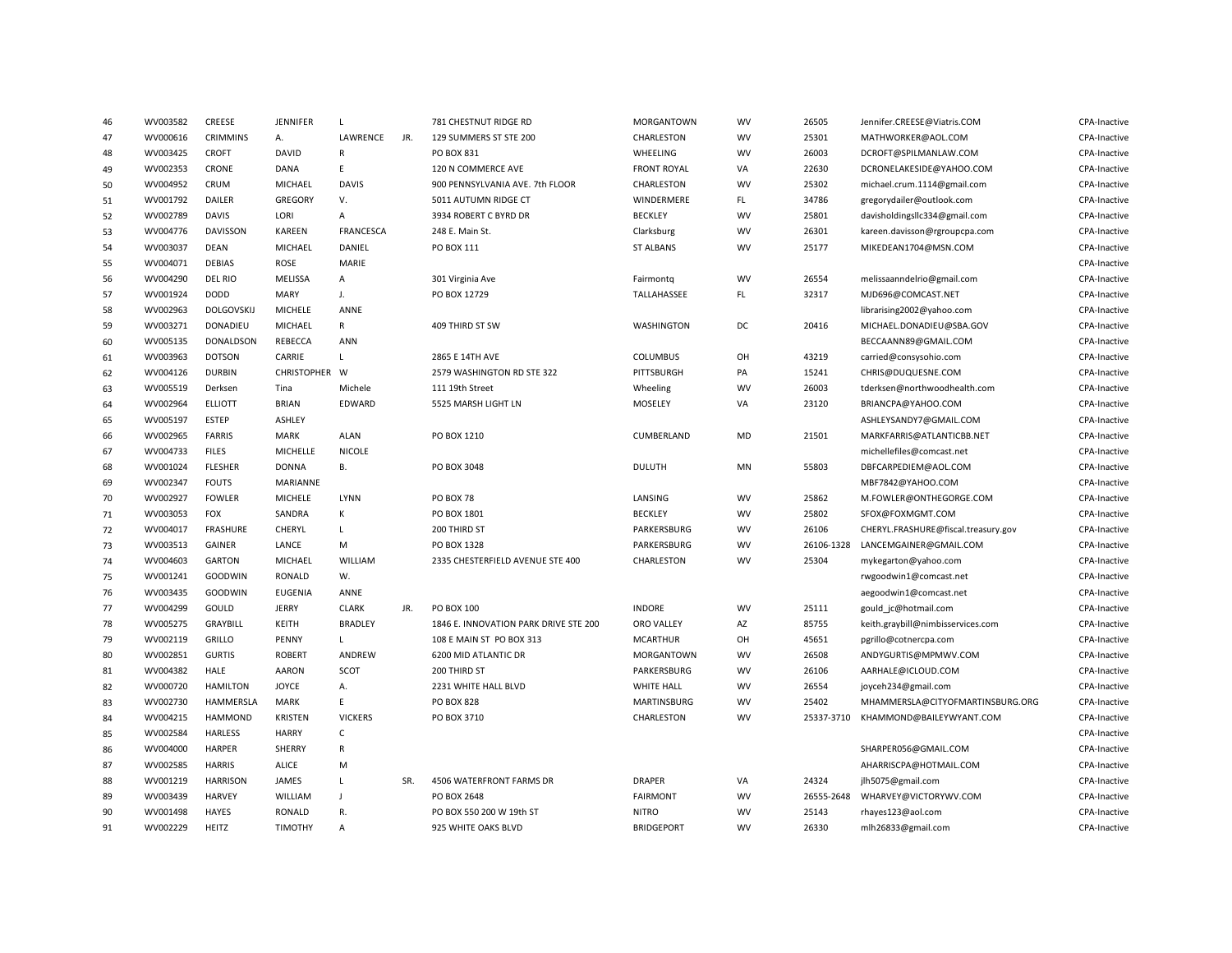| 46 | WV003582 | CREESE            | JENNIFER          | L                |     | 781 CHESTNUT RIDGE RD                 | MORGANTOWN         | WV                     | 26505      | Jennifer.CREESE@Viatris.COM         | CPA-Inactive        |
|----|----------|-------------------|-------------------|------------------|-----|---------------------------------------|--------------------|------------------------|------------|-------------------------------------|---------------------|
| 47 | WV000616 | <b>CRIMMINS</b>   | А.                | LAWRENCE         | JR. | 129 SUMMERS ST STE 200                | CHARLESTON         | WV                     | 25301      | MATHWORKER@AOL.COM                  | CPA-Inactive        |
| 48 | WV003425 | <b>CROFT</b>      | DAVID             | R                |     | PO BOX 831                            | WHEELING           | <b>WV</b>              | 26003      | DCROFT@SPILMANLAW.COM               | CPA-Inactive        |
| 49 | WV002353 | CRONE             | DANA              | E.               |     | 120 N COMMERCE AVE                    | <b>FRONT ROYAL</b> | VA                     | 22630      | DCRONELAKESIDE@YAHOO.COM            | CPA-Inactive        |
| 50 | WV004952 | CRUM              | MICHAEL           | <b>DAVIS</b>     |     | 900 PENNSYLVANIA AVE. 7th FLOOR       | CHARLESTON         | <b>WV</b>              | 25302      | michael.crum.1114@gmail.com         | CPA-Inactive        |
| 51 | WV001792 | DAILER            | GREGORY           | V.               |     | 5011 AUTUMN RIDGE CT                  | WINDERMERE         | $\mathsf{FL}$          | 34786      | gregorydailer@outlook.com           | CPA-Inactive        |
| 52 | WV002789 | <b>DAVIS</b>      | LORI              | А                |     | 3934 ROBERT C BYRD DR                 | <b>BECKLEY</b>     | <b>WV</b>              | 25801      | davisholdingsllc334@gmail.com       | CPA-Inactive        |
| 53 | WV004776 | <b>DAVISSON</b>   | <b>KAREEN</b>     | <b>FRANCESCA</b> |     | 248 E. Main St.                       | Clarksburg         | <b>WV</b>              | 26301      | kareen.davisson@rgroupcpa.com       | CPA-Inactive        |
| 54 | WV003037 | DEAN              | MICHAEL           | DANIEL           |     | PO BOX 111                            | <b>ST ALBANS</b>   | <b>WV</b>              | 25177      | MIKEDEAN1704@MSN.COM                | CPA-Inactive        |
| 55 | WV004071 | <b>DEBIAS</b>     | ROSE              | MARIE            |     |                                       |                    |                        |            |                                     | CPA-Inactive        |
| 56 | WV004290 | DEL RIO           | MELISSA           | Α                |     | 301 Virginia Ave                      | Fairmontq          | <b>WV</b>              | 26554      | melissaanndelrio@gmail.com          | CPA-Inactive        |
| 57 | WV001924 | <b>DODD</b>       | <b>MARY</b>       | J.               |     | PO BOX 12729                          | TALLAHASSEE        | FL.                    | 32317      | MJD696@COMCAST.NET                  | CPA-Inactive        |
| 58 | WV002963 | <b>DOLGOVSKIJ</b> | <b>MICHELE</b>    | ANNE             |     |                                       |                    |                        |            | librarising2002@yahoo.com           | CPA-Inactive        |
| 59 | WV003271 | DONADIEU          | MICHAEL           | R                |     | 409 THIRD ST SW                       | WASHINGTON         | DC                     | 20416      | MICHAEL.DONADIEU@SBA.GOV            | CPA-Inactive        |
| 60 | WV005135 | <b>DONALDSON</b>  | REBECCA           | ANN              |     |                                       |                    |                        |            | BECCAANN89@GMAIL.COM                | CPA-Inactive        |
| 61 | WV003963 | <b>DOTSON</b>     | CARRIE            | L                |     | 2865 E 14TH AVE                       | <b>COLUMBUS</b>    | OH                     | 43219      | carried@consysohio.com              | CPA-Inactive        |
| 62 | WV004126 | <b>DURBIN</b>     | CHRISTOPHER W     |                  |     | 2579 WASHINGTON RD STE 322            | PITTSBURGH         | PA                     | 15241      | CHRIS@DUQUESNE.COM                  | CPA-Inactive        |
| 63 | WV005519 | Derksen           | Tina              | Michele          |     | 111 19th Street                       | Wheeling           | <b>WV</b>              | 26003      | tderksen@northwoodhealth.com        | CPA-Inactive        |
| 64 | WV002964 | <b>ELLIOTT</b>    | <b>BRIAN</b>      | EDWARD           |     | 5525 MARSH LIGHT LN                   | MOSELEY            | VA                     | 23120      | BRIANCPA@YAHOO.COM                  | CPA-Inactive        |
| 65 | WV005197 | <b>ESTEP</b>      | ASHLEY            |                  |     |                                       |                    |                        |            | ASHLEYSANDY7@GMAIL.COM              | <b>CPA-Inactive</b> |
| 66 | WV002965 | <b>FARRIS</b>     | MARK              | <b>ALAN</b>      |     | PO BOX 1210                           | CUMBERLAND         | <b>MD</b>              | 21501      | MARKFARRIS@ATLANTICBB.NET           | CPA-Inactive        |
| 67 | WV004733 | <b>FILES</b>      | MICHELLE          | <b>NICOLE</b>    |     |                                       |                    |                        |            | michellefiles@comcast.net           | CPA-Inactive        |
| 68 | WV001024 | <b>FLESHER</b>    | <b>DONNA</b>      | В.               |     | PO BOX 3048                           | <b>DULUTH</b>      | MN                     | 55803      | DBFCARPEDIEM@AOL.COM                | CPA-Inactive        |
|    | WV002347 | <b>FOUTS</b>      | MARIANNE          |                  |     |                                       |                    |                        |            |                                     | CPA-Inactive        |
| 69 |          |                   |                   | LYNN             |     |                                       |                    |                        | 25862      | MBF7842@YAHOO.COM                   |                     |
| 70 | WV002927 | <b>FOWLER</b>     | MICHELE<br>SANDRA | К                |     | <b>PO BOX 78</b>                      | LANSING            | <b>WV</b><br><b>WV</b> | 25802      | M.FOWLER@ONTHEGORGE.COM             | CPA-Inactive        |
| 71 | WV003053 | <b>FOX</b>        |                   |                  |     | PO BOX 1801                           | <b>BECKLEY</b>     |                        |            | SFOX@FOXMGMT.COM                    | CPA-Inactive        |
| 72 | WV004017 | <b>FRASHURE</b>   | CHERYL            | L                |     | 200 THIRD ST                          | PARKERSBURG        | WV                     | 26106      | CHERYL.FRASHURE@fiscal.treasury.gov | CPA-Inactive        |
| 73 | WV003513 | GAINER            | LANCE             | M                |     | PO BOX 1328                           | PARKERSBURG        | WV                     | 26106-1328 | LANCEMGAINER@GMAIL.COM              | CPA-Inactive        |
| 74 | WV004603 | <b>GARTON</b>     | MICHAEL           | WILLIAM          |     | 2335 CHESTERFIELD AVENUE STE 400      | CHARLESTON         | <b>WV</b>              | 25304      | mykegarton@yahoo.com                | CPA-Inactive        |
| 75 | WV001241 | <b>GOODWIN</b>    | RONALD            | W.               |     |                                       |                    |                        |            | rwgoodwin1@comcast.net              | CPA-Inactive        |
| 76 | WV003435 | <b>GOODWIN</b>    | <b>EUGENIA</b>    | ANNE             |     |                                       |                    |                        |            | aegoodwin1@comcast.net              | CPA-Inactive        |
| 77 | WV004299 | GOULD             | <b>JERRY</b>      | <b>CLARK</b>     | JR. | PO BOX 100                            | <b>INDORE</b>      | WV                     | 25111      | gould_jc@hotmail.com                | CPA-Inactive        |
| 78 | WV005275 | <b>GRAYBILL</b>   | KEITH             | <b>BRADLEY</b>   |     | 1846 E. INNOVATION PARK DRIVE STE 200 | <b>ORO VALLEY</b>  | AZ                     | 85755      | keith.graybill@nimbisservices.com   | <b>CPA-Inactive</b> |
| 79 | WV002119 | GRILLO            | PENNY             | L                |     | 108 E MAIN ST PO BOX 313              | <b>MCARTHUR</b>    | OH                     | 45651      | pgrillo@cotnercpa.com               | CPA-Inactive        |
| 80 | WV002851 | <b>GURTIS</b>     | <b>ROBERT</b>     | ANDREW           |     | 6200 MID ATLANTIC DR                  | MORGANTOWN         | WV                     | 26508      | ANDYGURTIS@MPMWV.COM                | CPA-Inactive        |
| 81 | WV004382 | <b>HALE</b>       | <b>AARON</b>      | SCOT             |     | 200 THIRD ST                          | PARKERSBURG        | <b>WV</b>              | 26106      | AARHALE@ICLOUD.COM                  | CPA-Inactive        |
| 82 | WV000720 | <b>HAMILTON</b>   | <b>JOYCE</b>      | Α.               |     | 2231 WHITE HALL BLVD                  | <b>WHITE HALL</b>  | <b>WV</b>              | 26554      | joyceh234@gmail.com                 | CPA-Inactive        |
| 83 | WV002730 | HAMMERSLA         | MARK              | E.               |     | <b>PO BOX 828</b>                     | <b>MARTINSBURG</b> | <b>WV</b>              | 25402      | MHAMMERSLA@CITYOFMARTINSBURG.ORG    | CPA-Inactive        |
| 84 | WV004215 | <b>HAMMOND</b>    | <b>KRISTEN</b>    | <b>VICKERS</b>   |     | PO BOX 3710                           | CHARLESTON         | <b>WV</b>              | 25337-3710 | KHAMMOND@BAILEYWYANT.COM            | CPA-Inactive        |
| 85 | WV002584 | <b>HARLESS</b>    | <b>HARRY</b>      | $\mathsf C$      |     |                                       |                    |                        |            |                                     | CPA-Inactive        |
| 86 | WV004000 | <b>HARPER</b>     | SHERRY            | R                |     |                                       |                    |                        |            | SHARPER056@GMAIL.COM                | CPA-Inactive        |
| 87 | WV002585 | <b>HARRIS</b>     | <b>ALICE</b>      | M                |     |                                       |                    |                        |            | AHARRISCPA@HOTMAIL.COM              | CPA-Inactive        |
| 88 | WV001219 | <b>HARRISON</b>   | JAMES             | L                | SR. | 4506 WATERFRONT FARMS DR              | <b>DRAPER</b>      | VA                     | 24324      | jlh5075@gmail.com                   | CPA-Inactive        |
| 89 | WV003439 | <b>HARVEY</b>     | WILLIAM           | $\mathbf{J}$     |     | PO BOX 2648                           | <b>FAIRMONT</b>    | <b>WV</b>              | 26555-2648 | WHARVEY@VICTORYWV.COM               | CPA-Inactive        |
| 90 | WV001498 | HAYES             | RONALD            | R.               |     | PO BOX 550 200 W 19th ST              | <b>NITRO</b>       | <b>WV</b>              | 25143      | rhayes123@aol.com                   | CPA-Inactive        |
| 91 | WV002229 | <b>HEITZ</b>      | <b>TIMOTHY</b>    | A                |     | 925 WHITE OAKS BLVD                   | <b>BRIDGEPORT</b>  | <b>WV</b>              | 26330      | mlh26833@gmail.com                  | CPA-Inactive        |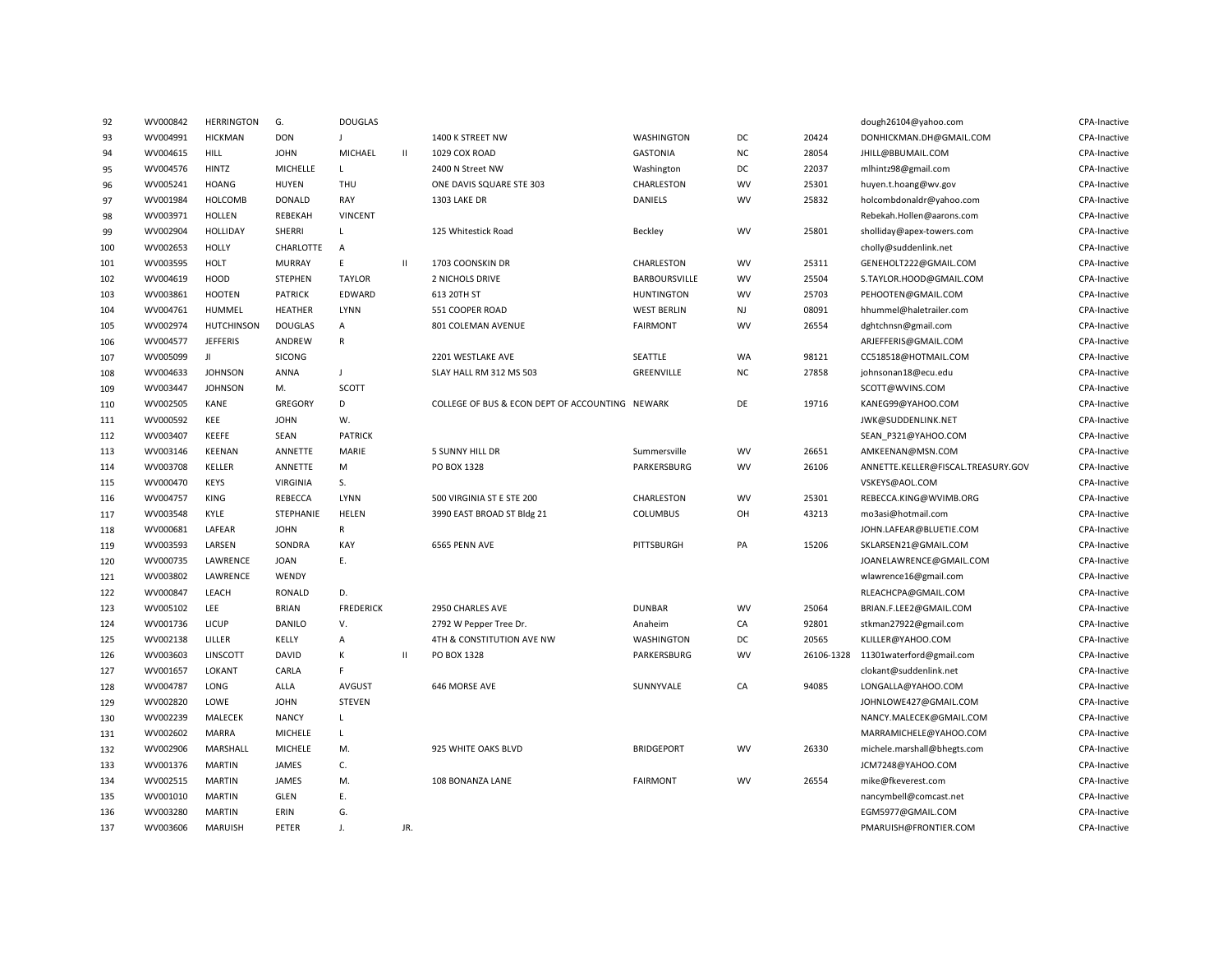| 92  | WV000842 | <b>HERRINGTON</b> | G.             | <b>DOUGLAS</b>   |              |                                                 |                      |           |       | dough26104@yahoo.com                | CPA-Inactive        |
|-----|----------|-------------------|----------------|------------------|--------------|-------------------------------------------------|----------------------|-----------|-------|-------------------------------------|---------------------|
| 93  | WV004991 | <b>HICKMAN</b>    | <b>DON</b>     | J                |              | 1400 K STREET NW                                | WASHINGTON           | DC        | 20424 | DONHICKMAN.DH@GMAIL.COM             | CPA-Inactive        |
| 94  | WV004615 | <b>HILL</b>       | <b>JOHN</b>    | MICHAEL          | $\mathbf{H}$ | 1029 COX ROAD                                   | <b>GASTONIA</b>      | <b>NC</b> | 28054 | JHILL@BBUMAIL.COM                   | CPA-Inactive        |
| 95  | WV004576 | HINTZ             | MICHELLE       | L                |              | 2400 N Street NW                                | Washington           | DC        | 22037 | mlhintz98@gmail.com                 | CPA-Inactive        |
| 96  | WV005241 | <b>HOANG</b>      | <b>HUYEN</b>   | THU              |              | ONE DAVIS SQUARE STE 303                        | CHARLESTON           | <b>WV</b> | 25301 | huyen.t.hoang@wv.gov                | CPA-Inactive        |
| 97  | WV001984 | <b>HOLCOMB</b>    | <b>DONALD</b>  | RAY              |              | 1303 LAKE DR                                    | <b>DANIELS</b>       | <b>WV</b> | 25832 | holcombdonaldr@yahoo.com            | CPA-Inactive        |
| 98  | WV003971 | <b>HOLLEN</b>     | REBEKAH        | <b>VINCENT</b>   |              |                                                 |                      |           |       | Rebekah.Hollen@aarons.com           | CPA-Inactive        |
| 99  | WV002904 | HOLLIDAY          | SHERRI         | L                |              | 125 Whitestick Road                             | Beckley              | WV        | 25801 | sholliday@apex-towers.com           | CPA-Inactive        |
| 100 | WV002653 | <b>HOLLY</b>      | CHARLOTTE      | A                |              |                                                 |                      |           |       | cholly@suddenlink.net               | CPA-Inactive        |
| 101 | WV003595 | HOLT              | <b>MURRAY</b>  | E                | $\mathbf{H}$ | 1703 COONSKIN DR                                | CHARLESTON           | <b>WV</b> | 25311 | GENEHOLT222@GMAIL.COM               | <b>CPA-Inactive</b> |
| 102 | WV004619 | HOOD              | <b>STEPHEN</b> | <b>TAYLOR</b>    |              | 2 NICHOLS DRIVE                                 | <b>BARBOURSVILLE</b> | <b>WV</b> | 25504 | S.TAYLOR.HOOD@GMAIL.COM             | CPA-Inactive        |
| 103 | WV003861 | <b>HOOTEN</b>     | <b>PATRICK</b> | EDWARD           |              | 613 20TH ST                                     | <b>HUNTINGTON</b>    | WV        | 25703 | PEHOOTEN@GMAIL.COM                  | CPA-Inactive        |
| 104 | WV004761 | HUMMEL            | <b>HEATHER</b> | LYNN             |              | 551 COOPER ROAD                                 | <b>WEST BERLIN</b>   | NJ        | 08091 | hhummel@haletrailer.com             | CPA-Inactive        |
| 105 | WV002974 | <b>HUTCHINSON</b> | <b>DOUGLAS</b> | A                |              | 801 COLEMAN AVENUE                              | <b>FAIRMONT</b>      | <b>WV</b> | 26554 | dghtchnsn@gmail.com                 | CPA-Inactive        |
| 106 | WV004577 | <b>JEFFERIS</b>   | ANDREW         | $\mathsf R$      |              |                                                 |                      |           |       | ARJEFFERIS@GMAIL.COM                | CPA-Inactive        |
| 107 | WV005099 | Л                 | <b>SICONG</b>  |                  |              | 2201 WESTLAKE AVE                               | SEATTLE              | <b>WA</b> | 98121 | CC518518@HOTMAIL.COM                | CPA-Inactive        |
| 108 | WV004633 | <b>JOHNSON</b>    | ANNA           | $\overline{1}$   |              | SLAY HALL RM 312 MS 503                         | GREENVILLE           | <b>NC</b> | 27858 | johnsonan18@ecu.edu                 | CPA-Inactive        |
| 109 | WV003447 | <b>JOHNSON</b>    | M.             | SCOTT            |              |                                                 |                      |           |       | SCOTT@WVINS.COM                     | CPA-Inactive        |
| 110 | WV002505 | KANE              | <b>GREGORY</b> | D                |              | COLLEGE OF BUS & ECON DEPT OF ACCOUNTING NEWARK |                      | DE        | 19716 | KANEG99@YAHOO.COM                   | CPA-Inactive        |
| 111 | WV000592 | KEE               | <b>JOHN</b>    | W.               |              |                                                 |                      |           |       | JWK@SUDDENLINK.NET                  | CPA-Inactive        |
| 112 | WV003407 | KEEFE             | SEAN           | <b>PATRICK</b>   |              |                                                 |                      |           |       | SEAN P321@YAHOO.COM                 | CPA-Inactive        |
| 113 | WV003146 | KEENAN            | ANNETTE        | MARIE            |              | <b>5 SUNNY HILL DR</b>                          | Summersville         | <b>WV</b> | 26651 | AMKEENAN@MSN.COM                    | CPA-Inactive        |
| 114 | WV003708 | KELLER            | ANNETTE        | М                |              | PO BOX 1328                                     | PARKERSBURG          | WV        | 26106 | ANNETTE.KELLER@FISCAL.TREASURY.GOV  | CPA-Inactive        |
| 115 | WV000470 | <b>KEYS</b>       | VIRGINIA       | S.               |              |                                                 |                      |           |       | VSKEYS@AOL.COM                      | CPA-Inactive        |
| 116 | WV004757 | KING              | REBECCA        | LYNN             |              | 500 VIRGINIA ST E STE 200                       | CHARLESTON           | <b>WV</b> | 25301 | REBECCA.KING@WVIMB.ORG              | CPA-Inactive        |
| 117 | WV003548 | KYLE              | STEPHANIE      | <b>HELEN</b>     |              | 3990 EAST BROAD ST Bldg 21                      | <b>COLUMBUS</b>      | OH        | 43213 | mo3asi@hotmail.com                  | CPA-Inactive        |
| 118 | WV000681 | LAFEAR            | <b>JOHN</b>    | R                |              |                                                 |                      |           |       | JOHN.LAFEAR@BLUETIE.COM             | CPA-Inactive        |
| 119 | WV003593 | LARSEN            | SONDRA         | KAY              |              | 6565 PENN AVE                                   | PITTSBURGH           | PA        | 15206 | SKLARSEN21@GMAIL.COM                | CPA-Inactive        |
| 120 | WV000735 | LAWRENCE          | <b>JOAN</b>    | Ε.               |              |                                                 |                      |           |       | JOANELAWRENCE@GMAIL.COM             | CPA-Inactive        |
| 121 | WV003802 | LAWRENCE          | WENDY          |                  |              |                                                 |                      |           |       | wlawrence16@gmail.com               | CPA-Inactive        |
| 122 | WV000847 | LEACH             | <b>RONALD</b>  | D.               |              |                                                 |                      |           |       | RLEACHCPA@GMAIL.COM                 | CPA-Inactive        |
| 123 | WV005102 | <b>LEE</b>        | <b>BRIAN</b>   | <b>FREDERICK</b> |              | 2950 CHARLES AVE                                | <b>DUNBAR</b>        | <b>WV</b> | 25064 | BRIAN.F.LEE2@GMAIL.COM              | CPA-Inactive        |
| 124 | WV001736 | LICUP             | DANILO         | V.               |              | 2792 W Pepper Tree Dr.                          | Anaheim              | CA        | 92801 | stkman27922@gmail.com               | CPA-Inactive        |
| 125 | WV002138 | LILLER            | KELLY          | A                |              | 4TH & CONSTITUTION AVE NW                       | WASHINGTON           | DC        | 20565 | KLILLER@YAHOO.COM                   | CPA-Inactive        |
| 126 | WV003603 | LINSCOTT          | <b>DAVID</b>   | K                | $\mathbf{H}$ | PO BOX 1328                                     | PARKERSBURG          | <b>WV</b> |       | 26106-1328 11301waterford@gmail.com | CPA-Inactive        |
| 127 | WV001657 | LOKANT            | CARLA          | F                |              |                                                 |                      |           |       | clokant@suddenlink.net              | CPA-Inactive        |
| 128 | WV004787 | LONG              | ALLA           | <b>AVGUST</b>    |              | 646 MORSE AVE                                   | SUNNYVALE            | CA        | 94085 | LONGALLA@YAHOO.COM                  | CPA-Inactive        |
| 129 | WV002820 | LOWE              | <b>JOHN</b>    | <b>STEVEN</b>    |              |                                                 |                      |           |       | JOHNLOWE427@GMAIL.COM               | CPA-Inactive        |
| 130 | WV002239 | MALECEK           | <b>NANCY</b>   | L                |              |                                                 |                      |           |       | NANCY.MALECEK@GMAIL.COM             | CPA-Inactive        |
| 131 | WV002602 | MARRA             | MICHELE        | L                |              |                                                 |                      |           |       | MARRAMICHELE@YAHOO.COM              | CPA-Inactive        |
| 132 | WV002906 | MARSHALL          | MICHELE        | M.               |              | 925 WHITE OAKS BLVD                             | <b>BRIDGEPORT</b>    | <b>WV</b> | 26330 | michele.marshall@bhegts.com         | CPA-Inactive        |
| 133 | WV001376 | <b>MARTIN</b>     | JAMES          | C.               |              |                                                 |                      |           |       | JCM7248@YAHOO.COM                   | CPA-Inactive        |
| 134 | WV002515 | <b>MARTIN</b>     | JAMES          | M.               |              | 108 BONANZA LANE                                | <b>FAIRMONT</b>      | WV        | 26554 | mike@fkeverest.com                  | CPA-Inactive        |
| 135 | WV001010 | <b>MARTIN</b>     | GLEN           | Ε.               |              |                                                 |                      |           |       | nancymbell@comcast.net              | CPA-Inactive        |
| 136 | WV003280 | <b>MARTIN</b>     | ERIN           | G.               |              |                                                 |                      |           |       | EGM5977@GMAIL.COM                   | CPA-Inactive        |
| 137 | WV003606 | MARUISH           | PETER          | $\perp$          | JR.          |                                                 |                      |           |       | PMARUISH@FRONTIER.COM               | CPA-Inactive        |
|     |          |                   |                |                  |              |                                                 |                      |           |       |                                     |                     |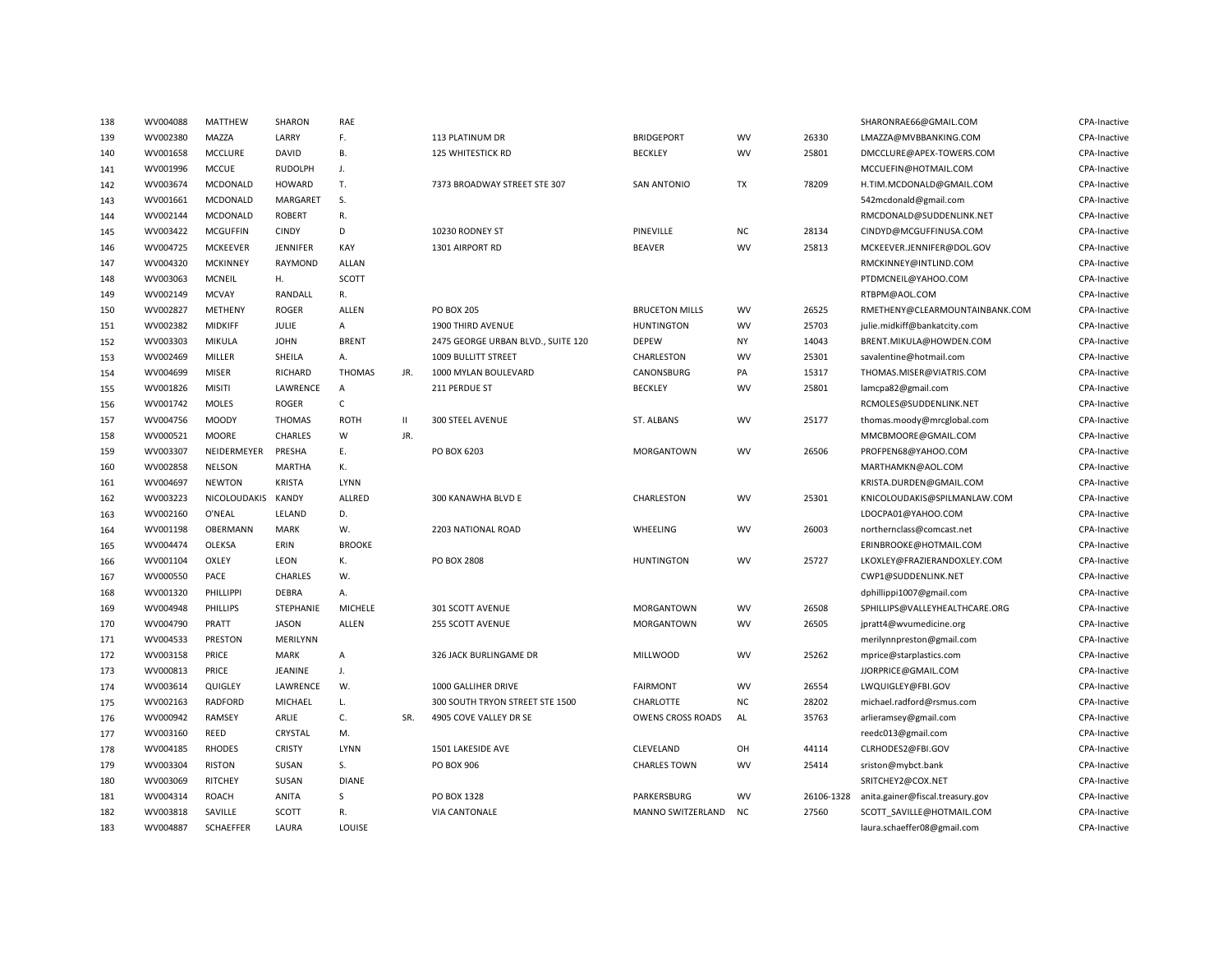| 138 | WV004088 | MATTHEW          | SHARON          | RAE                       |              |                                    |                       |           |            | SHARONRAE66@GMAIL.COM            | CPA-Inactive |
|-----|----------|------------------|-----------------|---------------------------|--------------|------------------------------------|-----------------------|-----------|------------|----------------------------------|--------------|
| 139 | WV002380 | MAZZA            | LARRY           | F.                        |              | 113 PLATINUM DR                    | <b>BRIDGEPORT</b>     | <b>WV</b> | 26330      | LMAZZA@MVBBANKING.COM            | CPA-Inactive |
| 140 | WV001658 | <b>MCCLURE</b>   | DAVID           | В.                        |              | <b>125 WHITESTICK RD</b>           | <b>BECKLEY</b>        | <b>WV</b> | 25801      | DMCCLURE@APEX-TOWERS.COM         | CPA-Inactive |
| 141 | WV001996 | <b>MCCUE</b>     | <b>RUDOLPH</b>  | J.                        |              |                                    |                       |           |            | MCCUEFIN@HOTMAIL.COM             | CPA-Inactive |
| 142 | WV003674 | MCDONALD         | <b>HOWARD</b>   | T.                        |              | 7373 BROADWAY STREET STE 307       | <b>SAN ANTONIO</b>    | <b>TX</b> | 78209      | H.TIM.MCDONALD@GMAIL.COM         | CPA-Inactive |
| 143 | WV001661 | MCDONALD         | MARGARET        | S.                        |              |                                    |                       |           |            | 542mcdonald@gmail.com            | CPA-Inactive |
| 144 | WV002144 | MCDONALD         | <b>ROBERT</b>   | R.                        |              |                                    |                       |           |            | RMCDONALD@SUDDENLINK.NET         | CPA-Inactive |
| 145 | WV003422 | <b>MCGUFFIN</b>  | <b>CINDY</b>    | D                         |              | 10230 RODNEY ST                    | PINEVILLE             | NC        | 28134      | CINDYD@MCGUFFINUSA.COM           | CPA-Inactive |
| 146 | WV004725 | <b>MCKEEVER</b>  | <b>JENNIFER</b> | KAY                       |              | 1301 AIRPORT RD                    | <b>BEAVER</b>         | <b>WV</b> | 25813      | MCKEEVER.JENNIFER@DOL.GOV        | CPA-Inactive |
| 147 | WV004320 | <b>MCKINNEY</b>  | RAYMOND         | ALLAN                     |              |                                    |                       |           |            | RMCKINNEY@INTLIND.COM            | CPA-Inactive |
| 148 | WV003063 | MCNEIL           | Η.              | SCOTT                     |              |                                    |                       |           |            | PTDMCNEIL@YAHOO.COM              | CPA-Inactive |
| 149 | WV002149 | <b>MCVAY</b>     | RANDALL         | R.                        |              |                                    |                       |           |            | RTBPM@AOL.COM                    | CPA-Inactive |
| 150 | WV002827 | METHENY          | <b>ROGER</b>    | ALLEN                     |              | PO BOX 205                         | <b>BRUCETON MILLS</b> | WV        | 26525      | RMETHENY@CLEARMOUNTAINBANK.COM   | CPA-Inactive |
| 151 | WV002382 | <b>MIDKIFF</b>   | JULIE           | $\boldsymbol{\mathsf{A}}$ |              | 1900 THIRD AVENUE                  | <b>HUNTINGTON</b>     | <b>WV</b> | 25703      | julie.midkiff@bankatcity.com     | CPA-Inactive |
| 152 | WV003303 | MIKULA           | <b>JOHN</b>     | <b>BRENT</b>              |              | 2475 GEORGE URBAN BLVD., SUITE 120 | <b>DEPEW</b>          | <b>NY</b> | 14043      | BRENT.MIKULA@HOWDEN.COM          | CPA-Inactive |
| 153 | WV002469 | MILLER           | SHEILA          | Α.                        |              | 1009 BULLITT STREET                | CHARLESTON            | WV        | 25301      | savalentine@hotmail.com          | CPA-Inactive |
| 154 | WV004699 | <b>MISER</b>     | RICHARD         | <b>THOMAS</b>             | JR.          | 1000 MYLAN BOULEVARD               | CANONSBURG            | PA        | 15317      | THOMAS.MISER@VIATRIS.COM         | CPA-Inactive |
| 155 | WV001826 | MISITI           | LAWRENCE        | A                         |              | 211 PERDUE ST                      | <b>BECKLEY</b>        | <b>WV</b> | 25801      | lamcpa82@gmail.com               | CPA-Inactive |
| 156 | WV001742 | <b>MOLES</b>     | <b>ROGER</b>    | $\mathsf{C}$              |              |                                    |                       |           |            | RCMOLES@SUDDENLINK.NET           | CPA-Inactive |
| 157 | WV004756 | <b>MOODY</b>     | <b>THOMAS</b>   | <b>ROTH</b>               | $\mathbf{H}$ | 300 STEEL AVENUE                   | ST. ALBANS            | <b>WV</b> | 25177      | thomas.moody@mrcglobal.com       | CPA-Inactive |
| 158 | WV000521 | <b>MOORE</b>     | CHARLES         | W                         | JR.          |                                    |                       |           |            | MMCBMOORE@GMAIL.COM              | CPA-Inactive |
| 159 | WV003307 | NEIDERMEYER      | PRESHA          | Ε.                        |              | PO BOX 6203                        | <b>MORGANTOWN</b>     | <b>WV</b> | 26506      | PROFPEN68@YAHOO.COM              | CPA-Inactive |
| 160 | WV002858 | <b>NELSON</b>    | <b>MARTHA</b>   | К.                        |              |                                    |                       |           |            | MARTHAMKN@AOL.COM                | CPA-Inactive |
| 161 | WV004697 | <b>NEWTON</b>    | <b>KRISTA</b>   | LYNN                      |              |                                    |                       |           |            | KRISTA.DURDEN@GMAIL.COM          | CPA-Inactive |
| 162 | WV003223 | NICOLOUDAKIS     | KANDY           | ALLRED                    |              | 300 KANAWHA BLVD E                 | CHARLESTON            | WV        | 25301      | KNICOLOUDAKIS@SPILMANLAW.COM     | CPA-Inactive |
| 163 | WV002160 | O'NEAL           | LELAND          | D.                        |              |                                    |                       |           |            | LDOCPA01@YAHOO.COM               | CPA-Inactive |
| 164 | WV001198 | OBERMANN         | <b>MARK</b>     | W.                        |              | 2203 NATIONAL ROAD                 | WHEELING              | WV        | 26003      | northernclass@comcast.net        | CPA-Inactive |
| 165 | WV004474 | OLEKSA           | ERIN            | <b>BROOKE</b>             |              |                                    |                       |           |            | ERINBROOKE@HOTMAIL.COM           | CPA-Inactive |
| 166 | WV001104 | OXLEY            | LEON            | К.                        |              | PO BOX 2808                        | <b>HUNTINGTON</b>     | WV        | 25727      | LKOXLEY@FRAZIERANDOXLEY.COM      | CPA-Inactive |
| 167 | WV000550 | PACE             | CHARLES         | W.                        |              |                                    |                       |           |            | CWP1@SUDDENLINK.NET              | CPA-Inactive |
| 168 | WV001320 | PHILLIPPI        | <b>DEBRA</b>    | Α.                        |              |                                    |                       |           |            | dphillippi1007@gmail.com         | CPA-Inactive |
| 169 | WV004948 | PHILLIPS         | STEPHANIE       | MICHELE                   |              | 301 SCOTT AVENUE                   | MORGANTOWN            | WV        | 26508      | SPHILLIPS@VALLEYHEALTHCARE.ORG   | CPA-Inactive |
| 170 | WV004790 | PRATT            | <b>JASON</b>    | ALLEN                     |              | 255 SCOTT AVENUE                   | MORGANTOWN            | <b>WV</b> | 26505      | jpratt4@wvumedicine.org          | CPA-Inactive |
| 171 | WV004533 | PRESTON          | MERILYNN        |                           |              |                                    |                       |           |            | merilynnpreston@gmail.com        | CPA-Inactive |
| 172 | WV003158 | PRICE            | <b>MARK</b>     | A                         |              | 326 JACK BURLINGAME DR             | <b>MILLWOOD</b>       | <b>WV</b> | 25262      | mprice@starplastics.com          | CPA-Inactive |
| 173 | WV000813 | PRICE            | JEANINE         | J.                        |              |                                    |                       |           |            | JJORPRICE@GMAIL.COM              | CPA-Inactive |
| 174 | WV003614 | QUIGLEY          | LAWRENCE        | W.                        |              | 1000 GALLIHER DRIVE                | <b>FAIRMONT</b>       | <b>WV</b> | 26554      | LWQUIGLEY@FBI.GOV                | CPA-Inactive |
| 175 | WV002163 | <b>RADFORD</b>   | MICHAEL         | L.                        |              | 300 SOUTH TRYON STREET STE 1500    | <b>CHARLOTTE</b>      | <b>NC</b> | 28202      | michael.radford@rsmus.com        | CPA-Inactive |
| 176 | WV000942 | RAMSEY           | ARLIE           | C.                        | SR.          | 4905 COVE VALLEY DR SE             | OWENS CROSS ROADS     | AL        | 35763      | arlieramsey@gmail.com            | CPA-Inactive |
| 177 | WV003160 | <b>REED</b>      | CRYSTAL         | M.                        |              |                                    |                       |           |            | reedc013@gmail.com               | CPA-Inactive |
| 178 | WV004185 | <b>RHODES</b>    | <b>CRISTY</b>   | LYNN                      |              | 1501 LAKESIDE AVE                  | CLEVELAND             | OH        | 44114      | CLRHODES2@FBI.GOV                | CPA-Inactive |
| 179 | WV003304 | <b>RISTON</b>    | SUSAN           | S.                        |              | PO BOX 906                         | <b>CHARLES TOWN</b>   | <b>WV</b> | 25414      | sriston@mybct.bank               | CPA-Inactive |
| 180 | WV003069 | <b>RITCHEY</b>   | SUSAN           | <b>DIANE</b>              |              |                                    |                       |           |            | SRITCHEY2@COX.NET                | CPA-Inactive |
| 181 | WV004314 | <b>ROACH</b>     | ANITA           | S                         |              | PO BOX 1328                        | PARKERSBURG           | <b>WV</b> | 26106-1328 | anita.gainer@fiscal.treasury.gov | CPA-Inactive |
| 182 | WV003818 | SAVILLE          | SCOTT           | R.                        |              | <b>VIA CANTONALE</b>               | MANNO SWITZERLAND     | <b>NC</b> | 27560      | SCOTT SAVILLE@HOTMAIL.COM        | CPA-Inactive |
| 183 | WV004887 | <b>SCHAEFFER</b> | LAURA           | LOUISE                    |              |                                    |                       |           |            | laura.schaeffer08@gmail.com      | CPA-Inactive |